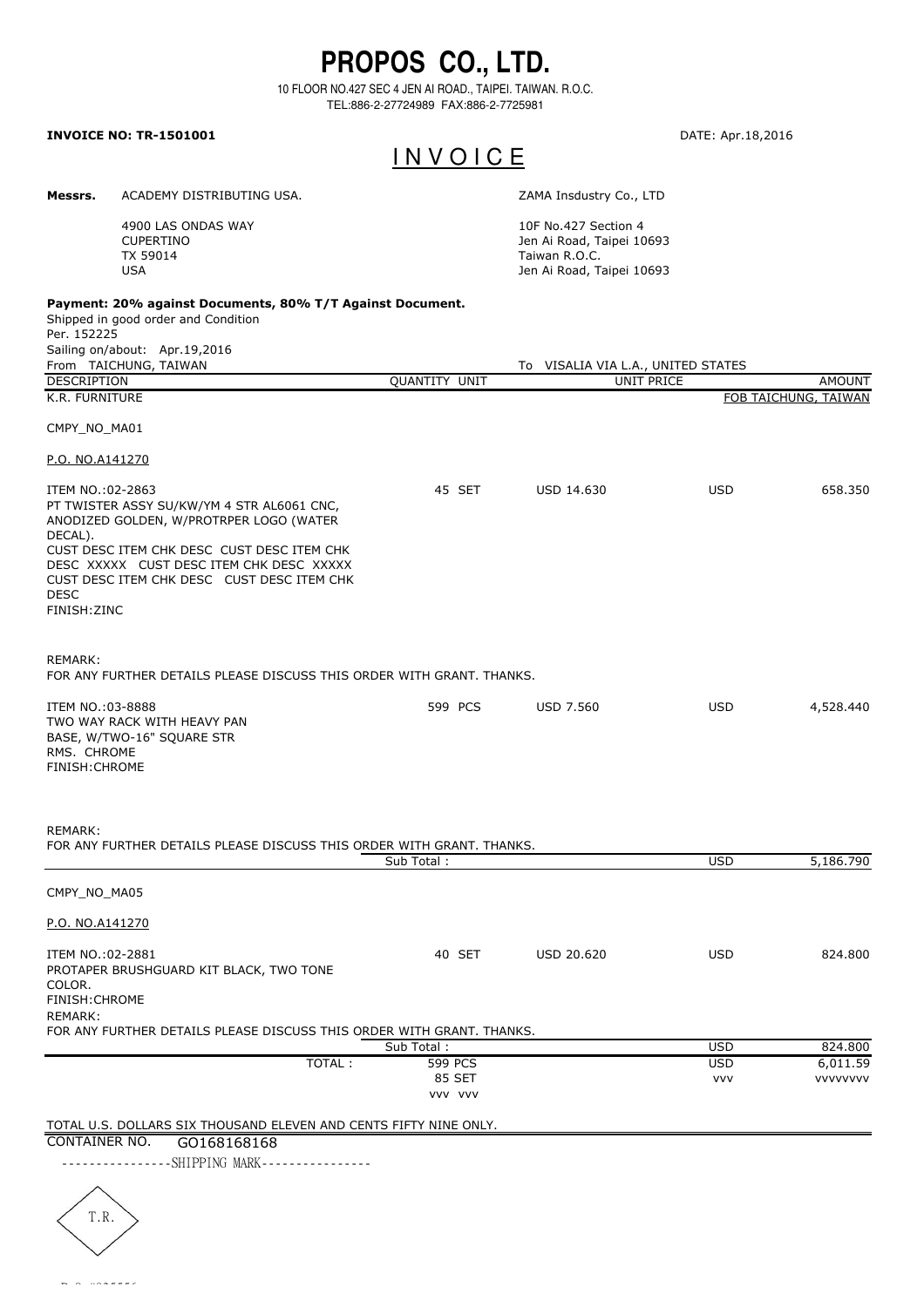## **PROPOS CO., LTD.**

10 FLOOR NO.427 SEC 4 JEN AI ROAD., TAIPEI. TAIWAN. R.O.C. TEL:886-2-27724989 FAX:886-2-7725981

## **INVOICE NO: TR-1501001** DATE: Apr.18,2016

## I N V O I C E

**Messrs.** ACADEMY DISTRIBUTING USA. <br>
ZAMA Insdustry Co., LTD

> 4900 LAS ONDAS WAY CUPERTINO TX 59014 USA

10F No.427 Section 4 Jen Ai Road, Taipei 10693 Taiwan R.O.C. Jen Ai Road, Taipei 10693

To VISALIA VIA L.A., UNITED STATES

## **Payment: 20% against Documents, 80% T/T Against Document.**

Shipped in good order and Condition Per. 152225 Sailing on/about: Apr.19,2016<br>From TAICHUNG, TAIWAN

| DESCRIPTION                                                                                                                                                                                                                                                                                 | QUANTITY UNIT     |                   | UNIT PRICE | <b>AMOUNT</b>        |
|---------------------------------------------------------------------------------------------------------------------------------------------------------------------------------------------------------------------------------------------------------------------------------------------|-------------------|-------------------|------------|----------------------|
| K.R. FURNITURE                                                                                                                                                                                                                                                                              |                   |                   |            | FOB TAICHUNG, TAIWAN |
| CMPY_NO_MA01                                                                                                                                                                                                                                                                                |                   |                   |            |                      |
| P.O. NO.A141270                                                                                                                                                                                                                                                                             |                   |                   |            |                      |
| ITEM NO.:02-2863<br>PT TWISTER ASSY SU/KW/YM 4 STR AL6061 CNC,<br>ANODIZED GOLDEN, W/PROTRPER LOGO (WATER<br>DECAL).<br>CUST DESC ITEM CHK DESC CUST DESC ITEM CHK<br>DESC XXXXX CUST DESC ITEM CHK DESC XXXXX<br>CUST DESC ITEM CHK DESC CUST DESC ITEM CHK<br><b>DESC</b><br>FINISH: ZINC | 45 SET            | USD 14.630        | <b>USD</b> | 658.350              |
| REMARK:<br>FOR ANY FURTHER DETAILS PLEASE DISCUSS THIS ORDER WITH GRANT. THANKS.                                                                                                                                                                                                            |                   |                   |            |                      |
| ITEM NO.:03-8888<br>TWO WAY RACK WITH HEAVY PAN<br>BASE, W/TWO-16" SQUARE STR<br>RMS. CHROME<br><b>FINISH: CHROME</b>                                                                                                                                                                       | 599 PCS           | <b>USD 7.560</b>  | <b>USD</b> | 4,528.440            |
| REMARK:<br>FOR ANY FURTHER DETAILS PLEASE DISCUSS THIS ORDER WITH GRANT. THANKS.                                                                                                                                                                                                            |                   |                   |            |                      |
|                                                                                                                                                                                                                                                                                             | Sub Total:        |                   | <b>USD</b> | 5,186.790            |
| CMPY NO MA05<br>P.O. NO.A141270                                                                                                                                                                                                                                                             |                   |                   |            |                      |
| ITEM NO.:02-2881<br>PROTAPER BRUSHGUARD KIT BLACK, TWO TONE<br>COLOR.<br>FINISH: CHROME<br><b>REMARK:</b>                                                                                                                                                                                   | 40 SET            | <b>USD 20.620</b> | <b>USD</b> | 824,800              |
| FOR ANY FURTHER DETAILS PLEASE DISCUSS THIS ORDER WITH GRANT. THANKS.                                                                                                                                                                                                                       |                   |                   |            |                      |
|                                                                                                                                                                                                                                                                                             | Sub Total:        |                   | <b>USD</b> | 824.800              |
| TOTAL:                                                                                                                                                                                                                                                                                      | 599 PCS           |                   | <b>USD</b> | 6,011.59             |
|                                                                                                                                                                                                                                                                                             | 85 SET<br>VVV VVV |                   | <b>VVV</b> | <b>VVVVVVVV</b>      |
|                                                                                                                                                                                                                                                                                             |                   |                   |            |                      |
| TOTAL U.S. DOLLARS SIX THOUSAND ELEVEN AND CENTS FIFTY NINE ONLY.<br>CONTAINER NO.<br>GO168168168                                                                                                                                                                                           |                   |                   |            |                      |
| ---------------SHIPPING MARK----------------                                                                                                                                                                                                                                                |                   |                   |            |                      |
|                                                                                                                                                                                                                                                                                             |                   |                   |            |                      |